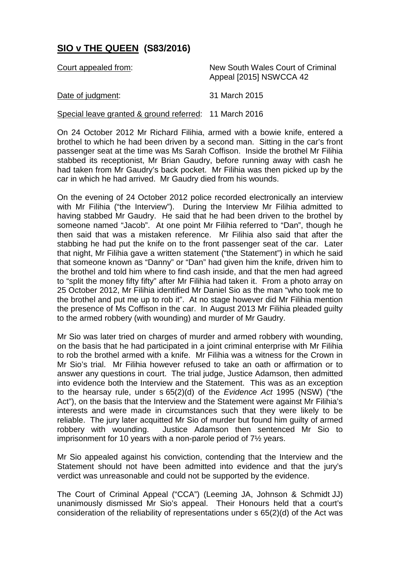## **SIO v THE QUEEN (S83/2016)**

| Court appealed from:                                   | New South Wales Court of Criminal<br>Appeal [2015] NSWCCA 42 |
|--------------------------------------------------------|--------------------------------------------------------------|
| Date of judgment:                                      | 31 March 2015                                                |
| Special leave granted & ground referred: 11 March 2016 |                                                              |

On 24 October 2012 Mr Richard Filihia, armed with a bowie knife, entered a brothel to which he had been driven by a second man. Sitting in the car's front passenger seat at the time was Ms Sarah Coffison. Inside the brothel Mr Filihia stabbed its receptionist, Mr Brian Gaudry, before running away with cash he had taken from Mr Gaudry's back pocket. Mr Filihia was then picked up by the car in which he had arrived. Mr Gaudry died from his wounds.

On the evening of 24 October 2012 police recorded electronically an interview with Mr Filihia ("the Interview"). During the Interview Mr Filihia admitted to having stabbed Mr Gaudry. He said that he had been driven to the brothel by someone named "Jacob". At one point Mr Filihia referred to "Dan", though he then said that was a mistaken reference. Mr Filihia also said that after the stabbing he had put the knife on to the front passenger seat of the car. Later that night, Mr Filihia gave a written statement ("the Statement") in which he said that someone known as "Danny" or "Dan" had given him the knife, driven him to the brothel and told him where to find cash inside, and that the men had agreed to "split the money fifty fifty" after Mr Filihia had taken it. From a photo array on 25 October 2012, Mr Filihia identified Mr Daniel Sio as the man "who took me to the brothel and put me up to rob it". At no stage however did Mr Filihia mention the presence of Ms Coffison in the car. In August 2013 Mr Filihia pleaded guilty to the armed robbery (with wounding) and murder of Mr Gaudry.

Mr Sio was later tried on charges of murder and armed robbery with wounding, on the basis that he had participated in a joint criminal enterprise with Mr Filihia to rob the brothel armed with a knife. Mr Filihia was a witness for the Crown in Mr Sio's trial. Mr Filihia however refused to take an oath or affirmation or to answer any questions in court. The trial judge, Justice Adamson, then admitted into evidence both the Interview and the Statement. This was as an exception to the hearsay rule, under s 65(2)(d) of the *Evidence Act* 1995 (NSW) ("the Act"), on the basis that the Interview and the Statement were against Mr Filihia's interests and were made in circumstances such that they were likely to be reliable. The jury later acquitted Mr Sio of murder but found him guilty of armed robbery with wounding. Justice Adamson then sentenced Mr Sio to imprisonment for 10 years with a non-parole period of 7½ years.

Mr Sio appealed against his conviction, contending that the Interview and the Statement should not have been admitted into evidence and that the jury's verdict was unreasonable and could not be supported by the evidence.

The Court of Criminal Appeal ("CCA") (Leeming JA, Johnson & Schmidt JJ) unanimously dismissed Mr Sio's appeal. Their Honours held that a court's consideration of the reliability of representations under s 65(2)(d) of the Act was